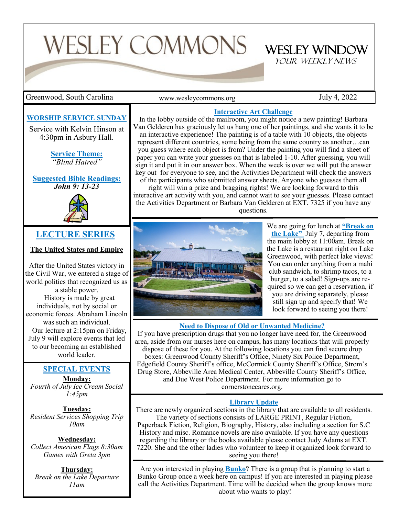# WESLEY COMMONS

Greenwood, South Carolina The Summon Commons or the Summons or the Sully 4, 2022

www.wesleycommons.org

WESLEY WINDOW YOUR WEEKLY NEWS

#### **WORSHIP SERVICE SUNDAY**

Service with Kelvin Hinson at 4:30pm in Asbury Hall.

> **Service Theme:** *"Blind Hatred"*

**Suggested Bible Readings:** *John 9: 13-23*



#### **LECTURE SERIES**

**The United States and Empire**

After the United States victory in the Civil War, we entered a stage of world politics that recognized us as

a stable power. History is made by great individuals, not by social or economic forces. Abraham Lincoln was such an individual. Our lecture at 2:15pm on Friday, July 9 will explore events that led to our becoming an established world leader.

#### **SPECIAL EVENTS**

**Monday:** *Fourth of July Ice Cream Social 1:45pm*

**Tuesday:** *Resident Services Shopping Trip 10am*

**Wednesday:** *Collect American Flags 8:30am Games with Greta 3pm*

**Thursday:** *Break on the Lake Departure 11am*

#### **Interactive Art Challenge**

In the lobby outside of the mailroom, you might notice a new painting! Barbara Van Gelderen has graciously let us hang one of her paintings, and she wants it to be an interactive experience! The painting is of a table with 10 objects, the objects represent different countries, some being from the same country as another…can you guess where each object is from? Under the painting you will find a sheet of paper you can write your guesses on that is labeled 1-10. After guessing, you will sign it and put it in our answer box. When the week is over we will put the answer key out for everyone to see, and the Activities Department will check the answers of the participants who submitted answer sheets. Anyone who guesses them all

right will win a prize and bragging rights! We are looking forward to this interactive art activity with you, and cannot wait to see your guesses. Please contact the Activities Department or Barbara Van Gelderen at EXT. 7325 if you have any questions.



We are going for lunch at **"Break on the Lake"** July 7, departing from the main lobby at 11:00am. Break on the Lake is a restaurant right on Lake Greenwood, with perfect lake views! You can order anything from a mahi club sandwich, to shrimp tacos, to a burger, to a salad! Sign-ups are required so we can get a reservation, if you are driving separately, please still sign up and specify that! We look forward to seeing you there!

#### **Need to Dispose of Old or Unwanted Medicine?**

If you have prescription drugs that you no longer have need for, the Greenwood area, aside from our nurses here on campus, has many locations that will properly dispose of these for you. At the following locations you can find secure drop boxes: Greenwood County Sheriff's Office, Ninety Six Police Department, Edgefield County Sheriff's office, McCormick County Sheriff's Office, Strom's Drug Store, Abbeville Area Medical Center, Abbeville County Sheriff's Office, and Due West Police Department. For more information go to cornerstonecares.org.

#### **Library Update**

There are newly organized sections in the library that are available to all residents. The variety of sections consists of LARGE PRINT, Regular Fiction, Paperback Fiction, Religion, Biography, History, also including a section for S.C History and misc. Romance novels are also available. If you have any questions regarding the library or the books available please contact Judy Adams at EXT. 7220. She and the other ladies who volunteer to keep it organized look forward to seeing you there!

Are you interested in playing **Bunko**? There is a group that is planning to start a Bunko Group once a week here on campus! If you are interested in playing please call the Activities Department. Time will be decided when the group knows more about who wants to play!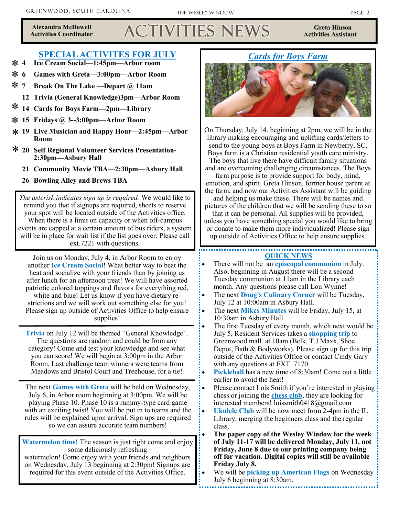**Alexandra McDowell Activities Coordinator**

# Activities News

**Greta Hinson Activities Assistant** 

#### **SPECIAL ACTIVITES FOR JULY**

- \* 4 **4 Ice Cream Social—1:45pm—Arbor room**
- **6 Games with Greta—3:00pm—Arbor Room** \* 6
- \* 7 **7 Break On The Lake —Depart @ 11am**
	- **12 Trivia (General Knowledge)3pm—Arbor Room**
- \* **14 Cards for Boys Farm—2pm—Library**
- **15 Fridays @ 3--3:00pm—Arbor Room** \*
- **19 Live Musician and Happy Hour—2:45pm—Arbor**  \* **Room**
- **20 Self Regional Volunteer Services Presentation-**\* **2:30pm—Asbury Hall** 
	- **21 Community Movie TBA—2:30pm—Asbury Hall**
	- **26 Bowling Alley and Brews TBA**

*The asterisk indicates sign up is required.* We would like to remind you that if signups are required, sheets to reserve your spot will be located outside of the Activities office. When there is a limit on capacity or when off-campus events are capped at a certain amount of bus riders, a system will be in place for wait list if the list goes over. Please call ext.7221 with questions.

Join us on Monday, July 4, in Arbor Room to enjoy another **Ice Cream Social**! What better way to beat the heat and socialize with your friends than by joining us after lunch for an afternoon treat! We will have assorted patriotic colored toppings and flavors for everything red, white and blue! Let us know if you have dietary restrictions and we will work out something else for you! Please sign up outside of Activities Office to help ensure supplies!

**Trivia** on July 12 will be themed "General Knowledge". The questions are random and could be from any category! Come and test your knowledge and see what you can score! We will begin at 3:00pm in the Arbor Room. Last challenge team winners were teams from Meadows and Bristol Court and Treehouse, for a tie!

The next **Games with Greta** will be held on Wednesday, July 6, in Arbor room beginning at 3:00pm. We will be playing Phase 10. Phase 10 is a rummy-type card game with an exciting twist! You will be put in to teams and the rules will be explained upon arrival. Sign ups are required so we can assure accurate team numbers!

**Watermelon time!** The season is just right come and enjoy some deliciously refreshing watermelon! Come enjoy with your friends and neighbors on Wednesday, July 13 beginning at 2:30pm! Signups are required for this event outside of the Activities Office.

#### *Cards for Boys Farm*



On Thursday, July 14, beginning at 2pm, we will be in the library making encouraging and uplifting cards/letters to send to the young boys at Boys Farm in Newberry, SC. Boys farm is a Christian residential youth care ministry. The boys that live there have difficult family situations and are overcoming challenging circumstances. The Boys

farm purpose is to provide support for body, mind, emotion, and spirit. Greta Hinson, former house parent at the farm, and now our Activities Assistant will be guiding and helping us make these. There will be names and pictures of the children that we will be sending these to so that it can be personal. All supplies will be provided, unless you have something special you would like to bring or donate to make them more individualized! Please sign up outside of Activities Office to help ensure supplies.

#### **QUICK NEWS**

- There will not be an **episcopal communion** in July. Also, beginning in August there will be a second Tuesday communion at 11am in the Library each month. Any questions please call Lou Wynne!
- The next **Doug's Culinary Corner** will be Tuesday, July 12 at 10:00am in Asbury Hall.
- The next **Mikes Minutes** will be Friday, July 15, at 10:30am in Asbury Hall.
- The first Tuesday of every month, which next would be July 5, Resident Services takes a **shopping trip** to Greenwood mall at 10am (Belk, T.J.Maxx, Shoe Depot, Bath & Bodyworks). Please sign up for this trip outside of the Activities Office or contact Cindy Gary with any questions at EXT. 7170.
- **Pickleball** has a new time of 8:30am! Come out a little earlier to avoid the heat!
- Please contact Lois Smith if you're interested in playing chess or joining the **chess club**, they are looking for interested members! loissmith0418@gmail.com
- **Ukulele Club** will be now meet from 2-4pm in the IL Library, merging the beginners class and the regular class.
- **The paper copy of the Wesley Window for the week of July 11-17 will be delivered Monday, July 11, not Friday, June 8 due to our printing company being off for vacation. Digital copies will still be available Friday July 8.**
- We will be **picking up American Flags** on Wednesday July 6 beginning at 8:30am.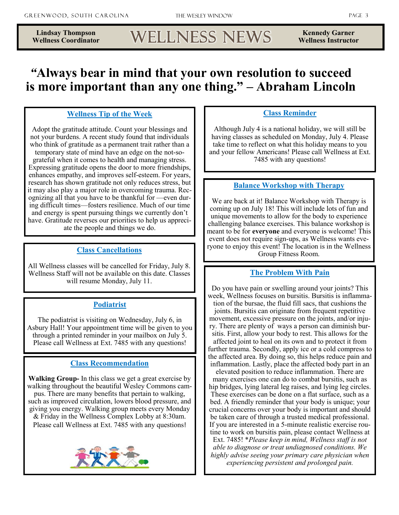## Wellness News

**Kennedy Garner Wellness Instructor** 

### *"***Always bear in mind that your own resolution to succeed is more important than any one thing." – Abraham Lincoln**

#### **Wellness Tip of the Week**

Adopt the gratitude attitude. Count your blessings and not your burdens. A recent study found that individuals who think of gratitude as a permanent trait rather than a temporary state of mind have an edge on the not-sograteful when it comes to health and managing stress. Expressing gratitude opens the door to more friendships, enhances empathy, and improves self-esteem. For years, research has shown gratitude not only reduces stress, but it may also play a major role in overcoming trauma. Recognizing all that you have to be thankful for —even during difficult times—fosters resilience. Much of our time and energy is spent pursuing things we currently don't have. Gratitude reverses our priorities to help us appreciate the people and things we do.

#### **Class Cancellations**

All Wellness classes will be cancelled for Friday, July 8. Wellness Staff will not be available on this date. Classes will resume Monday, July 11.

#### **Podiatrist**

The podiatrist is visiting on Wednesday, July 6, in Asbury Hall! Your appointment time will be given to you through a printed reminder in your mailbox on July 5. Please call Wellness at Ext. 7485 with any questions!

#### **Class Recommendation**

**Walking Group-** In this class we get a great exercise by walking throughout the beautiful Wesley Commons campus. There are many benefits that pertain to walking, such as improved circulation, lowers blood pressure, and giving you energy. Walking group meets every Monday & Friday in the Wellness Complex Lobby at 8:30am. Please call Wellness at Ext. 7485 with any questions!



#### **Class Reminder**

Although July 4 is a national holiday, we will still be having classes as scheduled on Monday, July 4. Please take time to reflect on what this holiday means to you and your fellow Americans! Please call Wellness at Ext. 7485 with any questions!

#### **Balance Workshop with Therapy**

We are back at it! Balance Workshop with Therapy is coming up on July 18! This will include lots of fun and unique movements to allow for the body to experience challenging balance exercises. This balance workshop is meant to be for **everyone** and everyone is welcome! This event does not require sign-ups, as Wellness wants everyone to enjoy this event! The location is in the Wellness Group Fitness Room.

#### **The Problem With Pain**

Do you have pain or swelling around your joints? This week, Wellness focuses on bursitis. Bursitis is inflammation of the bursae, the fluid fill sacs, that cushions the joints. Bursitis can originate from frequent repetitive movement, excessive pressure on the joints, and/or injury. There are plenty of ways a person can diminish bursitis. First, allow your body to rest. This allows for the affected joint to heal on its own and to protect it from further trauma. Secondly, apply ice or a cold compress to the affected area. By doing so, this helps reduce pain and inflammation. Lastly, place the affected body part in an

elevated position to reduce inflammation. There are many exercises one can do to combat bursitis, such as hip bridges, lying lateral leg raises, and lying leg circles. These exercises can be done on a flat surface, such as a bed. A friendly reminder that your body is unique; your crucial concerns over your body is important and should be taken care of through a trusted medical professional. If you are interested in a 5-minute realistic exercise routine to work on bursitis pain, please contact Wellness at Ext. 7485! \**Please keep in mind, Wellness staff is not able to diagnose or treat undiagnosed conditions. We highly advise seeing your primary care physician when experiencing persistent and prolonged pain.*